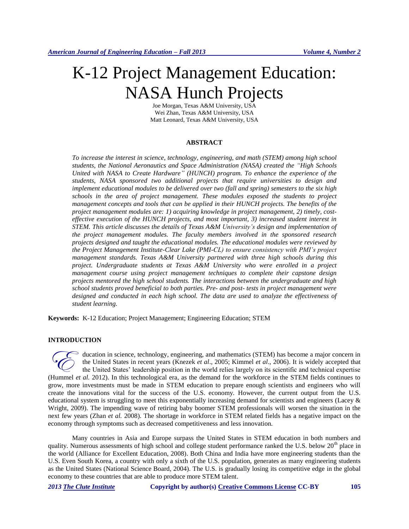# K-12 Project Management Education: NASA Hunch Projects

Joe Morgan, Texas A&M University, USA Wei Zhan, Texas A&M University, USA Matt Leonard, Texas A&M University, USA

## **ABSTRACT**

*To increase the interest in science, technology, engineering, and math (STEM) among high school students, the National Aeronautics and Space Administration (NASA) created the "High Schools United with NASA to Create Hardware" (HUNCH) program. To enhance the experience of the students, NASA sponsored two additional projects that require universities to design and implement educational modules to be delivered over two (fall and spring) semesters to the six high schools in the area of project management. These modules exposed the students to project management concepts and tools that can be applied in their HUNCH projects. The benefits of the project management modules are: 1) acquiring knowledge in project management, 2) timely, costeffective execution of the HUNCH projects, and most important, 3) increased student interest in STEM. This article discusses the details of Texas A&M University's design and implementation of the project management modules. The faculty members involved in the sponsored research projects designed and taught the educational modules. The educational modules were reviewed by the Project Management Institute-Clear Lake (PMI-CL) to ensure consistency with PMI's project management standards. Texas A&M University partnered with three high schools during this project. Undergraduate students at Texas A&M University who were enrolled in a project management course using project management techniques to complete their capstone design projects mentored the high school students. The interactions between the undergraduate and high school students proved beneficial to both parties. Pre- and post- tests in project management were designed and conducted in each high school. The data are used to analyze the effectiveness of student learning.*

**Keywords:** K-12 Education; Project Management; Engineering Education; STEM

## **INTRODUCTION**

ducation in science, technology, engineering, and mathematics (STEM) has become a major concern in the United States in recent years (Knezek *et al*., 2005; Kimmel *et al*., 2006). It is widely accepted that the United States' leadership position in the world relies largely on its scientific and technical expertise ducation in science, technology, engineering, and mathematics (STEM) has become a major concern in the United States in recent years (Knezek *et al.*, 2005; Kimmel *et al.*, 2006). It is widely accepted that the United Sta grow, more investments must be made in STEM education to prepare enough scientists and engineers who will create the innovations vital for the success of the U.S. economy. However, the current output from the U.S. educational system is struggling to meet this exponentially increasing demand for scientists and engineers (Lacey & Wright, 2009). The impending wave of retiring baby boomer STEM professionals will worsen the situation in the next few years (Zhan *et al.* 2008). The shortage in workforce in STEM related fields has a negative impact on the economy through symptoms such as decreased competitiveness and less innovation.

Many countries in Asia and Europe surpass the United States in STEM education in both numbers and quality. Numerous assessments of high school and college student performance ranked the U.S. below  $20<sup>th</sup>$  place in the world (Alliance for Excellent Education, 2008). Both China and India have more engineering students than the U.S. Even South Korea, a country with only a sixth of the U.S. population, generates as many engineering students as the United States (National Science Board, 2004). The U.S. is gradually losing its competitive edge in the global economy to these countries that are able to produce more STEM talent.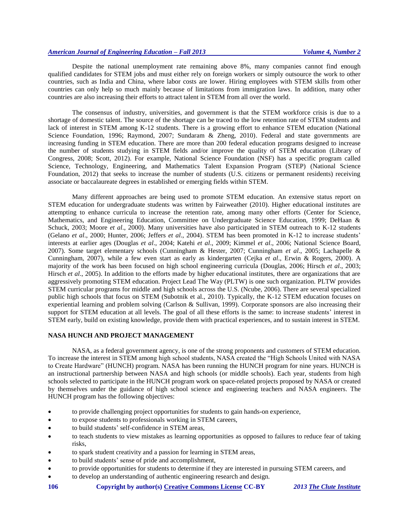Despite the national unemployment rate remaining above 8%, many companies cannot find enough qualified candidates for STEM jobs and must either rely on foreign workers or simply outsource the work to other countries, such as India and China, where labor costs are lower. Hiring employees with STEM skills from other countries can only help so much mainly because of limitations from immigration laws. In addition, many other countries are also increasing their efforts to attract talent in STEM from all over the world.

The consensus of industry, universities, and government is that the STEM workforce crisis is due to a shortage of domestic talent. The source of the shortage can be traced to the low retention rate of STEM students and lack of interest in STEM among K-12 students. There is a growing effort to enhance STEM education (National Science Foundation, 1996; Raymond, 2007; Sundaram & Zheng, 2010). Federal and state governments are increasing funding in STEM education. There are more than 200 federal education programs designed to increase the number of students studying in STEM fields and/or improve the quality of STEM education (Library of Congress, 2008; Scott, 2012). For example, National Science Foundation (NSF) has a specific program called Science, Technology, Engineering, and Mathematics Talent Expansion Program (STEP) (National Science Foundation, 2012) that seeks to increase the number of students (U.S. citizens or permanent residents) receiving associate or baccalaureate degrees in established or emerging fields within STEM.

Many different approaches are being used to promote STEM education. An extensive status report on STEM education for undergraduate students was written by Fairweather (2010). Higher educational institutes are attempting to enhance curricula to increase the retention rate, among many other efforts (Center for Science, Mathematics, and Engineering Education, Committee on Undergraduate Science Education, 1999; DeHaan & Schuck, 2003; Moore *et al*., 2000). Many universities have also participated in STEM outreach to K-12 students (Gelano *et al*., 2000; Hunter, 2006; Jeffers *et al*., 2004). STEM has been promoted in K-12 to increase students' interests at earlier ages (Douglas *et al*., 2004; Katehi *et al*., 2009; Kimmel *et al*., 2006; National Science Board, 2007). Some target elementary schools (Cunningham & Hester, 2007; Cunningham *et al*., 2005; Lachapelle & Cunningham, 2007), while a few even start as early as kindergarten (Cejka *et al*., Erwin & Rogers, 2000). A majority of the work has been focused on high school engineering curricula (Douglas, 2006; Hirsch *et al*., 2003; Hirsch *et al*., 2005). In addition to the efforts made by higher educational institutes, there are organizations that are aggressively promoting STEM education. Project Lead The Way (PLTW) is one such organization. PLTW provides STEM curricular programs for middle and high schools across the U.S. (Ncube, 2006). There are several specialized public high schools that focus on STEM (Subotnik et al., 2010). Typically, the K-12 STEM education focuses on experiential learning and problem solving (Carlson & Sullivan, 1999). Corporate sponsors are also increasing their support for STEM education at all levels. The goal of all these efforts is the same: to increase students' interest in STEM early, build on existing knowledge, provide them with practical experiences, and to sustain interest in STEM.

## **NASA HUNCH AND PROJECT MANAGEMENT**

NASA, as a federal government agency, is one of the strong proponents and customers of STEM education. To increase the interest in STEM among high school students, NASA created the "High Schools United with NASA to Create Hardware" (HUNCH) program. NASA has been running the HUNCH program for nine years. HUNCH is an instructional partnership between NASA and high schools (or middle schools). Each year, students from high schools selected to participate in the HUNCH program work on space-related projects proposed by NASA or created by themselves under the guidance of high school science and engineering teachers and NASA engineers. The HUNCH program has the following objectives:

- to provide challenging project opportunities for students to gain hands-on experience,
- to expose students to professionals working in STEM careers,
- to build students' self-confidence in STEM areas,
- to teach students to view mistakes as learning opportunities as opposed to failures to reduce fear of taking risks,
- to spark student creativity and a passion for learning in STEM areas,
- to build students' sense of pride and accomplishment,
- to provide opportunities for students to determine if they are interested in pursuing STEM careers, and
- to develop an understanding of authentic engineering research and design.
- **106 Copyright by author(s) Creative Commons License CC-BY** *2013 The Clute Institute*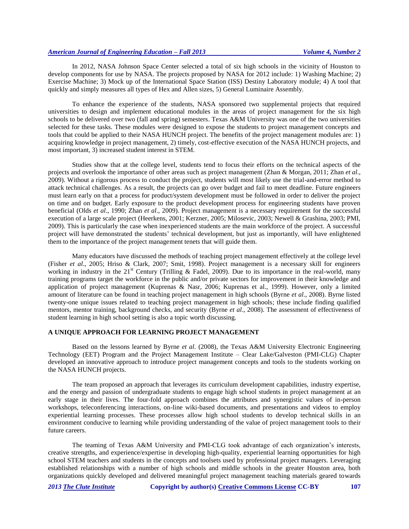In 2012, NASA Johnson Space Center selected a total of six high schools in the vicinity of Houston to develop components for use by NASA. The projects proposed by NASA for 2012 include: 1) Washing Machine; 2) Exercise Machine; 3) Mock up of the International Space Station (ISS) Destiny Laboratory module; 4) A tool that quickly and simply measures all types of Hex and Allen sizes, 5) General Luminaire Assembly.

To enhance the experience of the students, NASA sponsored two supplemental projects that required universities to design and implement educational modules in the areas of project management for the six high schools to be delivered over two (fall and spring) semesters. Texas A&M University was one of the two universities selected for these tasks. These modules were designed to expose the students to project management concepts and tools that could be applied to their NASA HUNCH project. The benefits of the project management modules are: 1) acquiring knowledge in project management, 2) timely, cost-effective execution of the NASA HUNCH projects, and most important, 3) increased student interest in STEM.

Studies show that at the college level, students tend to focus their efforts on the technical aspects of the projects and overlook the importance of other areas such as project management (Zhan & Morgan, 2011; Zhan *et al*., 2009). Without a rigorous process to conduct the project, students will most likely use the trial-and-error method to attack technical challenges. As a result, the projects can go over budget and fail to meet deadline. Future engineers must learn early on that a process for product/system development must be followed in order to deliver the project on time and on budget. Early exposure to the product development process for engineering students have proven beneficial (Olds *et al*., 1990; Zhan *et al*., 2009). Project management is a necessary requirement for the successful execution of a large scale project (Heerkens, 2001; Kerzner, 2005; Milosevic, 2003; Newell & Grashina, 2003; PMI, 2009). This is particularly the case when inexperienced students are the main workforce of the project. A successful project will have demonstrated the students' technical development, but just as importantly, will have enlightened them to the importance of the project management tenets that will guide them.

Many educators have discussed the methods of teaching project management effectively at the college level (Fisher *et al*., 2005; Hriso & Clark, 2007; Smit, 1998). Project management is a necessary skill for engineers working in industry in the 21<sup>st</sup> Century (Trilling & Fadel, 2009). Due to its importance in the real-world, many training programs target the workforce in the public and/or private sectors for improvement in their knowledge and application of project management (Kuprenas & Nasr, 2006; Kuprenas et al., 1999). However, only a limited amount of literature can be found in teaching project management in high schools (Byrne *et al*., 2008). Byrne listed twenty-one unique issues related to teaching project management in high schools; these include finding qualified mentors, mentor training, background checks, and security (Byrne *et al*., 2008). The assessment of effectiveness of student learning in high school setting is also a topic worth discussing.

## **A UNIQUE APPROACH FOR LEARNING PROJECT MANAGEMENT**

Based on the lessons learned by Byrne *et al*. (2008), the Texas A&M University Electronic Engineering Technology (EET) Program and the Project Management Institute – Clear Lake/Galveston (PMI-CLG) Chapter developed an innovative approach to introduce project management concepts and tools to the students working on the NASA HUNCH projects.

The team proposed an approach that leverages its curriculum development capabilities, industry expertise, and the energy and passion of undergraduate students to engage high school students in project management at an early stage in their lives. The four-fold approach combines the attributes and synergistic values of in-person workshops, teleconferencing interactions, on-line wiki-based documents, and presentations and videos to employ experiential learning processes. These processes allow high school students to develop technical skills in an environment conducive to learning while providing understanding of the value of project management tools to their future careers.

The teaming of Texas A&M University and PMI-CLG took advantage of each organization's interests, creative strengths, and experience/expertise in developing high-quality, experiential learning opportunities for high school STEM teachers and students in the concepts and toolsets used by professional project managers. Leveraging established relationships with a number of high schools and middle schools in the greater Houston area, both organizations quickly developed and delivered meaningful project management teaching materials geared towards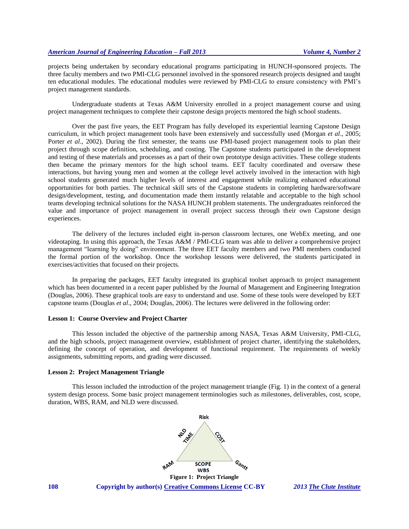projects being undertaken by secondary educational programs participating in HUNCH-sponsored projects. The three faculty members and two PMI-CLG personnel involved in the sponsored research projects designed and taught ten educational modules. The educational modules were reviewed by PMI-CLG to ensure consistency with PMI's project management standards.

Undergraduate students at Texas A&M University enrolled in a project management course and using project management techniques to complete their capstone design projects mentored the high school students.

Over the past five years, the EET Program has fully developed its experiential learning Capstone Design curriculum, in which project management tools have been extensively and successfully used (Morgan *et al*., 2005; Porter *et al.*, 2002). During the first semester, the teams use PMI-based project management tools to plan their project through scope definition, scheduling, and costing. The Capstone students participated in the development and testing of these materials and processes as a part of their own prototype design activities. These college students then became the primary mentors for the high school teams. EET faculty coordinated and oversaw these interactions, but having young men and women at the college level actively involved in the interaction with high school students generated much higher levels of interest and engagement while realizing enhanced educational opportunities for both parties. The technical skill sets of the Capstone students in completing hardware/software design/development, testing, and documentation made them instantly relatable and acceptable to the high school teams developing technical solutions for the NASA HUNCH problem statements. The undergraduates reinforced the value and importance of project management in overall project success through their own Capstone design experiences.

The delivery of the lectures included eight in-person classroom lectures, one WebEx meeting, and one videotaping. In using this approach, the Texas A&M / PMI-CLG team was able to deliver a comprehensive project management "learning by doing" environment. The three EET faculty members and two PMI members conducted the formal portion of the workshop. Once the workshop lessons were delivered, the students participated in exercises/activities that focused on their projects.

In preparing the packages, EET faculty integrated its graphical toolset approach to project management which has been documented in a recent paper published by the Journal of Management and Engineering Integration (Douglas, 2006). These graphical tools are easy to understand and use. Some of these tools were developed by EET capstone teams (Douglas *et al*., 2004; Douglas, 2006). The lectures were delivered in the following order:

## **Lesson 1: Course Overview and Project Charter**

This lesson included the objective of the partnership among NASA, Texas A&M University, PMI-CLG, and the high schools, project management overview, establishment of project charter, identifying the stakeholders, defining the concept of operation, and development of functional requirement. The requirements of weekly assignments, submitting reports, and grading were discussed.

#### **Lesson 2: Project Management Triangle**

This lesson included the introduction of the project management triangle (Fig. 1) in the context of a general system design process. Some basic project management terminologies such as milestones, deliverables, cost, scope, duration, WBS, RAM, and NLD were discussed.



**108 Copyright by author(s) Creative Commons License CC-BY** *2013 The Clute Institute* **Figure 1: Project Triangle**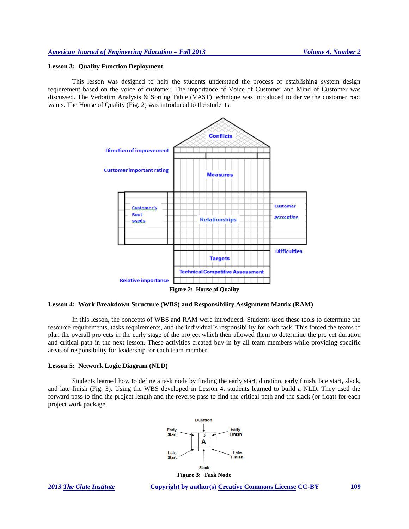#### **Lesson 3: Quality Function Deployment**

This lesson was designed to help the students understand the process of establishing system design requirement based on the voice of customer. The importance of Voice of Customer and Mind of Customer was discussed. The Verbatim Analysis & Sorting Table (VAST) technique was introduced to derive the customer root wants. The House of Quality (Fig. 2) was introduced to the students.



**Lesson 4: Work Breakdown Structure (WBS) and Responsibility Assignment Matrix (RAM)**

In this lesson, the concepts of WBS and RAM were introduced. Students used these tools to determine the resource requirements, tasks requirements, and the individual's responsibility for each task. This forced the teams to plan the overall projects in the early stage of the project which then allowed them to determine the project duration and critical path in the next lesson. These activities created buy-in by all team members while providing specific areas of responsibility for leadership for each team member.

# **Lesson 5: Network Logic Diagram (NLD)**

Students learned how to define a task node by finding the early start, duration, early finish, late start, slack, and late finish (Fig. 3). Using the WBS developed in Lesson 4, students learned to build a NLD. They used the forward pass to find the project length and the reverse pass to find the critical path and the slack (or float) for each project work package.



*2013 The Clute Institute* **Copyright by author(s) Creative Commons License CC-BY 109**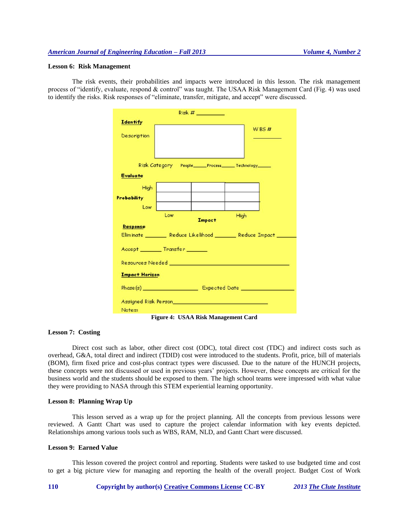# **Lesson 6: Risk Management**

The risk events, their probabilities and impacts were introduced in this lesson. The risk management process of "identify, evaluate, respond & control" was taught. The USAA Risk Management Card (Fig. 4) was used to identify the risks. Risk responses of "eliminate, transfer, mitigate, and accept" were discussed.

| Eliminate ________ Reduce Likelihood _______ Reduce Impact ______ |  |  |  |  |  |  |  |  |  |
|-------------------------------------------------------------------|--|--|--|--|--|--|--|--|--|
|                                                                   |  |  |  |  |  |  |  |  |  |
|                                                                   |  |  |  |  |  |  |  |  |  |
|                                                                   |  |  |  |  |  |  |  |  |  |
|                                                                   |  |  |  |  |  |  |  |  |  |
| <b>Impact Horizon</b>                                             |  |  |  |  |  |  |  |  |  |
|                                                                   |  |  |  |  |  |  |  |  |  |
|                                                                   |  |  |  |  |  |  |  |  |  |
|                                                                   |  |  |  |  |  |  |  |  |  |
|                                                                   |  |  |  |  |  |  |  |  |  |

**Figure 4: USAA Risk Management Card**

### **Lesson 7: Costing**

Direct cost such as labor, other direct cost (ODC), total direct cost (TDC) and indirect costs such as overhead, G&A, total direct and indirect (TDID) cost were introduced to the students. Profit, price, bill of materials (BOM), firm fixed price and cost-plus contract types were discussed. Due to the nature of the HUNCH projects, these concepts were not discussed or used in previous years' projects. However, these concepts are critical for the business world and the students should be exposed to them. The high school teams were impressed with what value they were providing to NASA through this STEM experiential learning opportunity.

#### **Lesson 8: Planning Wrap Up**

This lesson served as a wrap up for the project planning. All the concepts from previous lessons were reviewed. A Gantt Chart was used to capture the project calendar information with key events depicted. Relationships among various tools such as WBS, RAM, NLD, and Gantt Chart were discussed.

## **Lesson 9: Earned Value**

This lesson covered the project control and reporting. Students were tasked to use budgeted time and cost to get a big picture view for managing and reporting the health of the overall project. Budget Cost of Work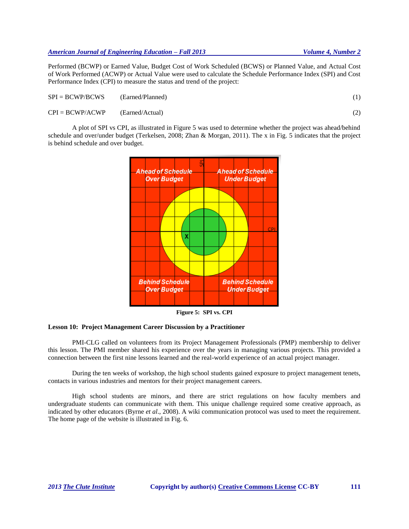Performed (BCWP) or Earned Value, Budget Cost of Work Scheduled (BCWS) or Planned Value, and Actual Cost of Work Performed (ACWP) or Actual Value were used to calculate the Schedule Performance Index (SPI) and Cost Performance Index (CPI) to measure the status and trend of the project:

| $SPI = BCWP/BCWS$ | (Earned/Planned) |  |
|-------------------|------------------|--|
| $CPI = BCWP/ACWP$ | (Earned/Actual)  |  |

A plot of SPI vs CPI, as illustrated in Figure 5 was used to determine whether the project was ahead/behind schedule and over/under budget (Terkelsen, 2008; Zhan & Morgan, 2011). The x in Fig. 5 indicates that the project is behind schedule and over budget.



**Figure 5: SPI vs. CPI**

# **Lesson 10: Project Management Career Discussion by a Practitioner**

PMI-CLG called on volunteers from its Project Management Professionals (PMP) membership to deliver this lesson. The PMI member shared his experience over the years in managing various projects. This provided a connection between the first nine lessons learned and the real-world experience of an actual project manager.

During the ten weeks of workshop, the high school students gained exposure to project management tenets, contacts in various industries and mentors for their project management careers.

High school students are minors, and there are strict regulations on how faculty members and undergraduate students can communicate with them. This unique challenge required some creative approach, as indicated by other educators (Byrne *et al*., 2008). A wiki communication protocol was used to meet the requirement. The home page of the website is illustrated in Fig. 6.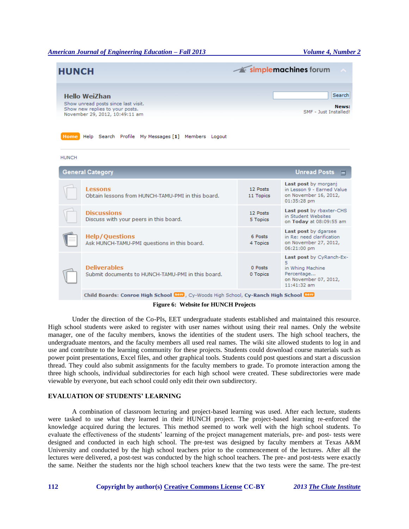| <b>HUNCH</b>                                                                                                                                              |                       | simplemachines forum                                                                                      |  |  |  |  |  |  |
|-----------------------------------------------------------------------------------------------------------------------------------------------------------|-----------------------|-----------------------------------------------------------------------------------------------------------|--|--|--|--|--|--|
| <b>Hello WeiZhan</b><br>Show unread posts since last visit.<br>Show new replies to your posts.<br>SME - Just Installed!<br>November 29, 2012, 10:49:11 am |                       |                                                                                                           |  |  |  |  |  |  |
| Home Help Search Profile My Messages [1] Members Logout<br><b>HUNCH</b>                                                                                   |                       |                                                                                                           |  |  |  |  |  |  |
| <b>General Category</b>                                                                                                                                   |                       | <b>Unread Posts</b><br>⊏                                                                                  |  |  |  |  |  |  |
| Lessons<br>Obtain lessons from HUNCH-TAMU-PMI in this board.                                                                                              | 12 Posts<br>11 Topics | Last post by morganj<br>in Lesson 9 - Earned Value<br>on November 16, 2012,<br>01:35:28 pm                |  |  |  |  |  |  |
| <b>Discussions</b><br>Discuss with your peers in this board.                                                                                              | 12 Posts<br>5 Topics  | Last post by rbaxter-CHS<br>in Student Websites<br>on Today at 08:09:55 am                                |  |  |  |  |  |  |
| <b>Help/Ouestions</b><br>Ask HUNCH-TAMU-PMI questions in this board.                                                                                      | 6 Posts<br>4 Topics   | Last post by dgarsee<br>in Re: need clarification<br>on November 27, 2012,<br>06:21:00 pm                 |  |  |  |  |  |  |
| <b>Deliverables</b><br>Submit documents to HUNCH-TAMU-PMI in this board.                                                                                  | 0 Posts<br>0 Topics   | Last post by CyRanch-Ex-<br>5<br>in Whing Machine<br>Percentage<br>on November 07, 2012,<br>$11:41:32$ am |  |  |  |  |  |  |
| Child Boards: Conroe High School Dew, Cy-Woods High School, Cy-Ranch High School Dew<br>$\epsilon$ will get with $\epsilon$                               |                       |                                                                                                           |  |  |  |  |  |  |

**Figure 6: Website for HUNCH Projects**

Under the direction of the Co-PIs, EET undergraduate students established and maintained this resource. High school students were asked to register with user names without using their real names. Only the website manager, one of the faculty members, knows the identities of the student users. The high school teachers, the undergraduate mentors, and the faculty members all used real names. The wiki site allowed students to log in and use and contribute to the learning community for these projects. Students could download course materials such as power point presentations, Excel files, and other graphical tools. Students could post questions and start a discussion thread. They could also submit assignments for the faculty members to grade. To promote interaction among the three high schools, individual subdirectories for each high school were created. These subdirectories were made viewable by everyone, but each school could only edit their own subdirectory.

# **EVALUATION OF STUDENTS' LEARNING**

A combination of classroom lecturing and project-based learning was used. After each lecture, students were tasked to use what they learned in their HUNCH project. The project-based learning re-enforced the knowledge acquired during the lectures. This method seemed to work well with the high school students. To evaluate the effectiveness of the students' learning of the project management materials, pre- and post- tests were designed and conducted in each high school. The pre-test was designed by faculty members at Texas A&M University and conducted by the high school teachers prior to the commencement of the lectures. After all the lectures were delivered, a post-test was conducted by the high school teachers. The pre- and post-tests were exactly the same. Neither the students nor the high school teachers knew that the two tests were the same. The pre-test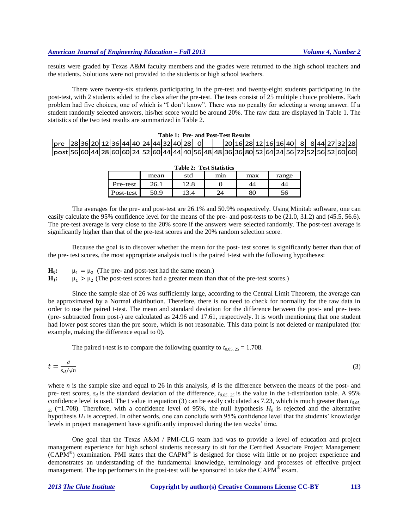results were graded by Texas A&M faculty members and the grades were returned to the high school teachers and the students. Solutions were not provided to the students or high school teachers.

There were twenty-six students participating in the pre-test and twenty-eight students participating in the post-test, with 2 students added to the class after the pre-test. The tests consist of 25 multiple choice problems. Each problem had five choices, one of which is "I don't know". There was no penalty for selecting a wrong answer. If a student randomly selected answers, his/her score would be around 20%. The raw data are displayed in Table 1. The statistics of the two test results are summarized in Table 2.

|                                                                                          |  |  |  |  | Table 1: Pre- and Post-Test Results |  |  |  |  |  |  |  |                                     |  |  |
|------------------------------------------------------------------------------------------|--|--|--|--|-------------------------------------|--|--|--|--|--|--|--|-------------------------------------|--|--|
| $ pre \,  28 36 20 12 36 44 40 24 44 32 40 28 0 $                                        |  |  |  |  |                                     |  |  |  |  |  |  |  | 20 16 28 12 16 16 40 88 44 27 32 28 |  |  |
| post 56 60 44 28 60 60 24 52 60 44 44 40 56 48 48 36 36 80 52 64 24 56 72 52 56 52 60 60 |  |  |  |  |                                     |  |  |  |  |  |  |  |                                     |  |  |

| <b>Table 2: Test Statistics</b> |      |      |     |     |       |  |  |  |  |  |  |
|---------------------------------|------|------|-----|-----|-------|--|--|--|--|--|--|
|                                 | mean | std  | mın | max | range |  |  |  |  |  |  |
| Pre-test                        | 26.1 | 12.8 |     | 44  |       |  |  |  |  |  |  |
| Post-test                       | 50.9 | 13.4 | 24  | 80  | 56    |  |  |  |  |  |  |

The averages for the pre- and post-test are 26.1% and 50.9% respectively. Using Minitab software, one can easily calculate the 95% confidence level for the means of the pre- and post-tests to be (21.0, 31.2) and (45.5, 56.6). The pre-test average is very close to the 20% score if the answers were selected randomly. The post-test average is significantly higher than that of the pre-test scores and the 20% random selection score.

Because the goal is to discover whether the mean for the post- test scores is significantly better than that of the pre- test scores, the most appropriate analysis tool is the paired t-test with the following hypotheses:

**H0:**  $\mu_1 = \mu_2$  (The pre- and post-test had the same mean.)

**H1:**  $\mu_1 > \mu_2$  (The post-test scores had a greater mean than that of the pre-test scores.)

Since the sample size of 26 was sufficiently large, according to the Central Limit Theorem, the average can be approximated by a Normal distribution. Therefore, there is no need to check for normality for the raw data in order to use the paired t-test. The mean and standard deviation for the difference between the post- and pre- tests (pre- subtracted from post-) are calculated as 24.96 and 17.61, respectively. It is worth mentioning that one student had lower post scores than the pre score, which is not reasonable. This data point is not deleted or manipulated (for example, making the difference equal to 0).

The paired t-test is to compare the following quantity to  $t_{0.05, 25} = 1.708$ .

$$
t = \frac{\bar{d}}{s_d/\sqrt{n}}\tag{3}
$$

where *n* is the sample size and equal to 26 in this analysis,  $\overline{d}$  is the difference between the means of the post- and pre- test scores,  $s_d$  is the standard deviation of the difference,  $t_{0.05, 25}$  is the value in the t-distribution table. A 95% confidence level is used. The t value in equation (3) can be easily calculated as 7.23, which is much greater than *t0.05,*   $_{25}$  (=1.708). Therefore, with a confidence level of 95%, the null hypothesis  $H_0$  is rejected and the alternative hypothesis  $H_I$  is accepted. In other words, one can conclude with 95% confidence level that the students' knowledge levels in project management have significantly improved during the ten weeks' time.

One goal that the Texas A&M / PMI-CLG team had was to provide a level of education and project management experience for high school students necessary to sit for the Certified Associate Project Management (CAPM® ) examination. PMI states that the CAPM® is designed for those with little or no project experience and demonstrates an understanding of the fundamental knowledge, terminology and processes of effective project management. The top performers in the post-test will be sponsored to take the  $\text{CAPM}^{\hat{\text{\text{0}}}}$  exam.

#### *2013 The Clute Institute* **Copyright by author(s) Creative Commons License CC-BY 113**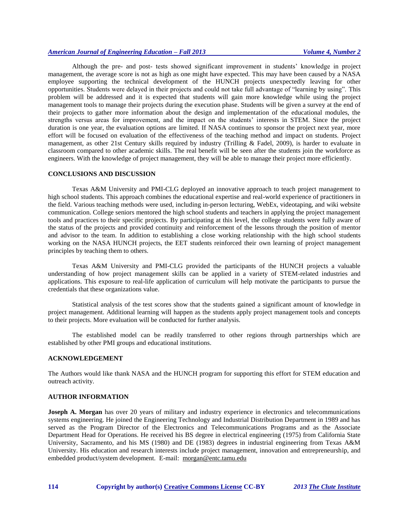Although the pre- and post- tests showed significant improvement in students' knowledge in project management, the average score is not as high as one might have expected. This may have been caused by a NASA employee supporting the technical development of the HUNCH projects unexpectedly leaving for other opportunities. Students were delayed in their projects and could not take full advantage of "learning by using". This problem will be addressed and it is expected that students will gain more knowledge while using the project management tools to manage their projects during the execution phase. Students will be given a survey at the end of their projects to gather more information about the design and implementation of the educational modules, the strengths versus areas for improvement, and the impact on the students' interests in STEM. Since the project duration is one year, the evaluation options are limited. If NASA continues to sponsor the project next year, more effort will be focused on evaluation of the effectiveness of the teaching method and impact on students. Project management, as other 21st Century skills required by industry (Trilling & Fadel, 2009), is harder to evaluate in classroom compared to other academic skills. The real benefit will be seen after the students join the workforce as engineers. With the knowledge of project management, they will be able to manage their project more efficiently.

#### **CONCLUSIONS AND DISCUSSION**

Texas A&M University and PMI-CLG deployed an innovative approach to teach project management to high school students. This approach combines the educational expertise and real-world experience of practitioners in the field. Various teaching methods were used, including in-person lecturing, WebEx, videotaping, and wiki website communication. College seniors mentored the high school students and teachers in applying the project management tools and practices to their specific projects. By participating at this level, the college students were fully aware of the status of the projects and provided continuity and reinforcement of the lessons through the position of mentor and advisor to the team. In addition to establishing a close working relationship with the high school students working on the NASA HUNCH projects, the EET students reinforced their own learning of project management principles by teaching them to others.

Texas A&M University and PMI-CLG provided the participants of the HUNCH projects a valuable understanding of how project management skills can be applied in a variety of STEM-related industries and applications. This exposure to real-life application of curriculum will help motivate the participants to pursue the credentials that these organizations value.

Statistical analysis of the test scores show that the students gained a significant amount of knowledge in project management. Additional learning will happen as the students apply project management tools and concepts to their projects. More evaluation will be conducted for further analysis.

The established model can be readily transferred to other regions through partnerships which are established by other PMI groups and educational institutions.

# **ACKNOWLEDGEMENT**

The Authors would like thank NASA and the HUNCH program for supporting this effort for STEM education and outreach activity.

## **AUTHOR INFORMATION**

**Joseph A. Morgan** has over 20 years of military and industry experience in electronics and telecommunications systems engineering. He joined the Engineering Technology and Industrial Distribution Department in 1989 and has served as the Program Director of the Electronics and Telecommunications Programs and as the Associate Department Head for Operations. He received his BS degree in electrical engineering (1975) from California State University, Sacramento, and his MS (1980) and DE (1983) degrees in industrial engineering from Texas A&M University. His education and research interests include project management, innovation and entrepreneurship, and embedded product/system development. E-mail: morgan@entc.tamu.edu

**114 Copyright by author(s) Creative Commons License CC-BY** *2013 The Clute Institute*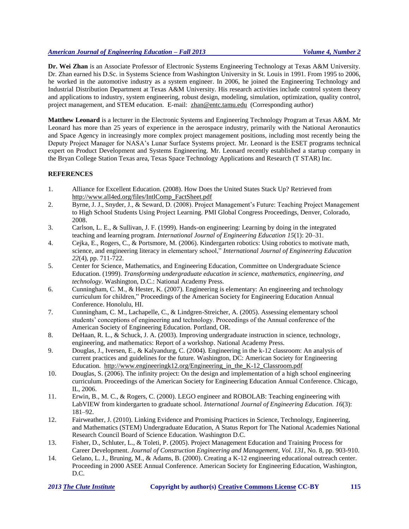**Dr. Wei Zhan** is an Associate Professor of Electronic Systems Engineering Technology at Texas A&M University. Dr. Zhan earned his D.Sc. in Systems Science from Washington University in St. Louis in 1991. From 1995 to 2006, he worked in the automotive industry as a system engineer. In 2006, he joined the Engineering Technology and Industrial Distribution Department at Texas A&M University. His research activities include control system theory and applications to industry, system engineering, robust design, modeling, simulation, optimization, quality control, project management, and STEM education. E-mail: [zhan@entc.tamu.edu](mailto:zhan@entc.tamu.edu) (Corresponding author)

**Matthew Leonard** is a lecturer in the Electronic Systems and Engineering Technology Program at Texas A&M. Mr Leonard has more than 25 years of experience in the aerospace industry, primarily with the National Aeronautics and Space Agency in increasingly more complex project management positions, including most recently being the Deputy Project Manager for NASA's Lunar Surface Systems project. Mr. Leonard is the ESET programs technical expert on Product Development and Systems Engineering. Mr. Leonard recently established a startup company in the Bryan College Station Texas area, Texas Space Technology Applications and Research (T STAR) Inc.

# **REFERENCES**

- 1. Alliance for Excellent Education. (2008). How Does the United States Stack Up? Retrieved from [http://www.all4ed.org/files/IntlComp\\_FactSheet.pdf](http://www.all4ed.org/files/IntlComp_FactSheet.pdf)
- 2. Byrne, J. J., Snyder, J., & Seward, D. (2008). Project Management's Future: Teaching Project Management to High School Students Using Project Learning. PMI Global Congress Proceedings, Denver, Colorado, 2008.
- 3. Carlson, L. E., & Sullivan, J. F. (1999). Hands-on engineering: Learning by doing in the integrated teaching and learning program. *International Journal of Engineering Education 15*(1): 20–31.
- 4. Cejka, E., Rogers, C., & Portsmore, M. (2006). Kindergarten robotics: Using robotics to motivate math, science, and engineering literacy in elementary school," *International Journal of Engineering Education 22*(4), pp. 711-722.
- 5. Center for Science, Mathematics, and Engineering Education, Committee on Undergraduate Science Education. (1999). *Transforming undergraduate education in science, mathematics, engineering, and technology*. Washington, D.C.: National Academy Press.
- 6. Cunningham, C. M., & Hester, K. (2007). Engineering is elementary: An engineering and technology curriculum for children," Proceedings of the American Society for Engineering Education Annual Conference. Honolulu, HI.
- 7. Cunningham, C. M., Lachapelle, C., & Lindgren-Streicher, A. (2005). Assessing elementary school students' conceptions of engineering and technology. Proceedings of the Annual conference of the American Society of Engineering Education. Portland, OR.
- 8. DeHaan, R. L., & Schuck, J. A. (2003). Improving undergraduate instruction in science, technology, engineering, and mathematics: Report of a workshop. National Academy Press.
- 9. Douglas, J., Iversen, E., & Kalyandurg, C. (2004). Engineering in the k-12 classroom: An analysis of current practices and guidelines for the future. Washington, DC: American Society for Engineering Education. [http://www.engineeringk12.org/Engineering\\_in\\_the\\_K-12\\_Classroom.pdf](http://www.engineeringk12.org/Engineering_in_the_K-12_Classroom.pdf)
- 10. Douglas, S. (2006). The infinity project: On the design and implementation of a high school engineering curriculum. Proceedings of the American Society for Engineering Education Annual Conference. Chicago, IL, 2006.
- 11. Erwin, B., M. C., & Rogers, C. (2000). LEGO engineer and ROBOLAB: Teaching engineering with LabVIEW from kindergarten to graduate school. *International Journal of Engineering Education. 16*(3): 181–92.
- 12. Fairweather, J. (2010). Linking Evidence and Promising Practices in Science, Technology, Engineering, and Mathematics (STEM) Undergraduate Education, A Status Report for The National Academies National Research Council Board of Science Education. Washington D.C.
- 13. Fisher, D., Schluter, L., & Toleti, P. (2005). Project Management Education and Training Process for Career Development. *Journal of Construction Engineering and Management*, *Vol. 131*, No. 8, pp. 903-910.
- 14. Gelano, L. J., Bruning, M., & Adams, B. (2000). Creating a K-12 engineering educational outreach center. Proceeding in 2000 ASEE Annual Conference. American Society for Engineering Education, Washington, D.C.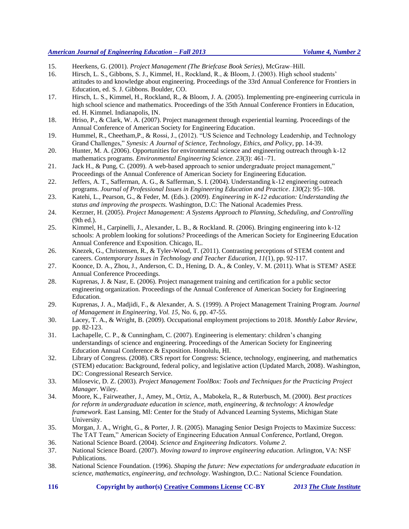- 15. Heerkens, G. (2001). *Project Management (The Briefcase Book Series)*, McGraw–Hill.
- 16. Hirsch, L. S., Gibbons, S. J., Kimmel, H., Rockland, R., & Bloom, J. (2003). High school students' attitudes to and knowledge about engineering. Proceedings of the 33rd Annual Conference for Frontiers in Education, ed. S. J. Gibbons. Boulder, CO.
- 17. Hirsch, L. S., Kimmel, H., Rockland, R., & Bloom, J. A. (2005). Implementing pre-engineering curricula in high school science and mathematics. Proceedings of the 35th Annual Conference Frontiers in Education, ed. H. Kimmel. Indianapolis, IN.
- 18. Hriso, P., & Clark, W. A. (2007). Project management through experiential learning. Proceedings of the Annual Conference of American Society for Engineering Education.
- 19. Hummel, R., Cheetham,P., & Rossi, J., (2012). "US Science and Technology Leadership, and Technology Grand Challenges," *Synesis: A Journal of Science, Technology, Ethics, and Policy*, pp. 14-39.
- 20. Hunter, M. A. (2006). Opportunities for environmental science and engineering outreach through k-12 mathematics programs. *Environmental Engineering Science. 23*(3): 461–71.
- 21. Jack H., & Pung, C. (2009). A web-based approach to senior undergraduate project management," Proceedings of the Annual Conference of American Society for Engineering Education.
- 22. Jeffers, A. T., Safferman, A. G., & Safferman, S. I. (2004). Understanding k-12 engineering outreach programs. *Journal of Professional Issues in Engineering Education and Practice*. *130*(2): 95–108.
- 23. Katehi, L., Pearson, G., & Feder, M. (Eds.). (2009). *Engineering in K-12 education: Understanding the status and improving the prospects.* Washington, D.C: The National Academies Press.
- 24. Kerzner, H. (2005). *Project Management: A Systems Approach to Planning, Scheduling, and Controlling* (9th ed.).
- 25. Kimmel, H., Carpinelli, J., Alexander, L. B., & Rockland. R. (2006). Bringing engineering into k-12 schools: A problem looking for solutions? Proceedings of the American Society for Engineering Education Annual Conference and Exposition. Chicago, IL.
- 26. Knezek, G., Christensen, R., & Tyler-Wood, T. (2011). Contrasting perceptions of STEM content and careers. *Contemporary Issues in Technology and Teacher Education, 11*(1), pp. 92-117.
- 27. Koonce, D. A., Zhou, J., Anderson, C. D., Hening, D. A., & Conley, V. M. (2011). What is STEM? ASEE Annual Conference Proceedings.
- 28. Kuprenas, J. & Nasr, E. (2006). Project management training and certification for a public sector engineering organization. Proceedings of the Annual Conference of American Society for Engineering Education.
- 29. Kuprenas, J. A., Madjidi, F., & Alexander, A. S. (1999). A Project Management Training Program. *Journal of Management in Engineering*, *Vol. 15*, No. 6, pp. 47-55.
- 30. Lacey, T. A., & Wright, B. (2009). Occupational employment projections to 2018. *Monthly Labor Review*, pp. 82-123.
- 31. Lachapelle, C. P., & Cunningham, C. (2007). Engineering is elementary: children's changing understandings of science and engineering. Proceedings of the American Society for Engineering Education Annual Conference & Exposition. Honolulu, HI.
- 32. Library of Congress. (2008). CRS report for Congress: Science, technology, engineering, and mathematics (STEM) education: Background, federal policy, and legislative action (Updated March, 2008). Washington, DC: Congressional Research Service.
- 33. Milosevic, D. Z. (2003). *Project Management ToolBox: Tools and Techniques for the Practicing Project Manager*. Wiley.
- 34. Moore, K., Fairweather, J., Amey, M., Ortiz, A., Mabokela, R., & Ruterbusch, M. (2000). *Best practices for reform in undergraduate education in science, math, engineering, & technology: A knowledge framework*. East Lansing, MI: Center for the Study of Advanced Learning Systems, Michigan State University.
- 35. Morgan, J. A., Wright, G., & Porter, J. R. (2005). Managing Senior Design Projects to Maximize Success: The TAT Team," American Society of Engineering Education Annual Conference, Portland, Oregon.
- 36. National Science Board. (2004). *Science and Engineering Indicators*. *Volume 2*.
- 37. National Science Board. (2007). *Moving toward to improve engineering education*. Arlington, VA: NSF Publications.
- 38. National Science Foundation. (1996). *Shaping the future: New expectations for undergraduate education in science, mathematics, engineering, and technology*. Washington, D.C.: National Science Foundation.
- **116 Copyright by author(s) Creative Commons License CC-BY** *2013 The Clute Institute*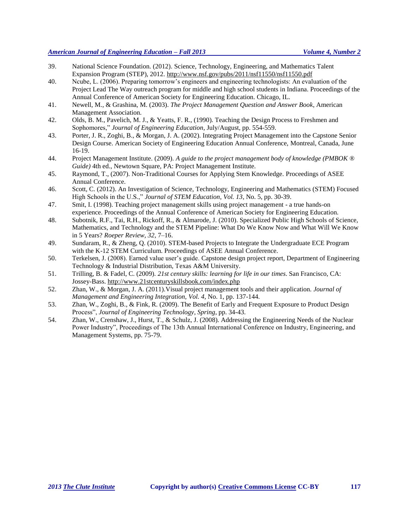- 39. National Science Foundation. (2012). Science, Technology, Engineering, and Mathematics Talent Expansion Program (STEP), 2012. <http://www.nsf.gov/pubs/2011/nsf11550/nsf11550.pdf>
- 40. Ncube, L. (2006). Preparing tomorrow's engineers and engineering technologists: An evaluation of the Project Lead The Way outreach program for middle and high school students in Indiana. Proceedings of the Annual Conference of American Society for Engineering Education. Chicago, IL.
- 41. Newell, M., & Grashina, M. (2003). *The Project Management Question and Answer Book*, American Management Association.
- 42. Olds, B. M., Pavelich, M. J., & Yeatts, F. R., (1990). Teaching the Design Process to Freshmen and Sophomores," *Journal of Engineering Education*, July/August, pp. 554-559.
- 43. Porter, J. R., Zoghi, B., & Morgan, J. A. (2002). Integrating Project Management into the Capstone Senior Design Course. American Society of Engineering Education Annual Conference, Montreal, Canada, June 16-19.
- 44. Project Management Institute. (2009). *A guide to the project management body of knowledge (PMBOK ® Guide)* 4th ed., Newtown Square, PA: Project Management Institute.
- 45. Raymond, T., (2007). Non-Traditional Courses for Applying Stem Knowledge. Proceedings of ASEE Annual Conference.
- 46. Scott, C. (2012). An Investigation of Science, Technology, Engineering and Mathematics (STEM) Focused High Schools in the U.S.," *Journal of STEM Education*, *Vol. 13*, No. 5, pp. 30-39.
- 47. Smit, I. (1998). Teaching project management skills using project management a true hands-on experience. Proceedings of the Annual Conference of American Society for Engineering Education.
- 48. Subotnik, R.F., Tai, R.H., Rickoff, R., & Almarode, J. (2010). Specialized Public High Schools of Science, Mathematics, and Technology and the STEM Pipeline: What Do We Know Now and What Will We Know in 5 Years? *Roeper Review, 32*, 7–16.
- 49. Sundaram, R., & Zheng, Q. (2010). STEM-based Projects to Integrate the Undergraduate ECE Program with the K-12 STEM Curriculum. Proceedings of ASEE Annual Conference.
- 50. Terkelsen, J. (2008). Earned value user's guide. Capstone design project report, Department of Engineering Technology & Industrial Distribution, Texas A&M University.
- 51. Trilling, B. & Fadel, C. (2009). *21st century skills: learning for life in our times*. San Francisco, CA: Jossey-Bass.<http://www.21stcenturyskillsbook.com/index.php>
- 52. Zhan, W., & Morgan, J. A. (2011).Visual project management tools and their application. *Journal of Management and Engineering Integration, Vol. 4*, No. 1, pp. 137-144.
- 53. Zhan, W., Zoghi, B., & Fink, R. (2009). The Benefit of Early and Frequent Exposure to Product Design Process", *Journal of Engineering Technology*, *Spring*, pp. 34-43.
- 54. Zhan, W., Crenshaw, J., Hurst, T., & Schulz, J. (2008). Addressing the Engineering Needs of the Nuclear Power Industry", Proceedings of The 13th Annual International Conference on Industry, Engineering, and Management Systems, pp. 75-79.